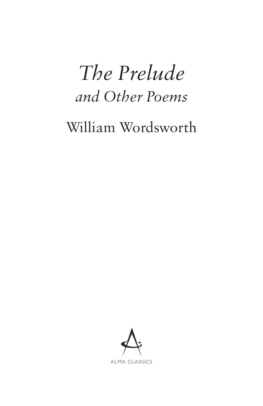# *The Prelude and Other Poems*

William Wordsworth

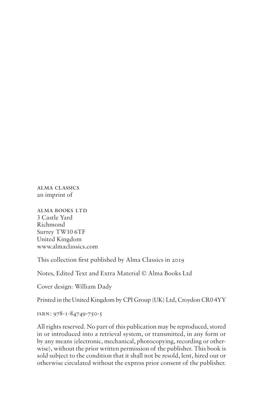alma classics an imprint of

Alma BOOKS Ltd 3 Castle Yard Richmond Surrey TW10 6TF United Kingdom www.almaclassics.com

This collection first published by Alma Classics in 2019

Notes, Edited Text and Extra Material © Alma Books Ltd

Cover design: William Dady

Printed in the United Kingdom by CPI Group (UK) Ltd, Croydon CR0 4YY

isbn: 978-1-84749-750-5

All rights reserved. No part of this publication may be reproduced, stored in or introduced into a retrieval system, or transmitted, in any form or by any means (electronic, mechanical, photocopying, recording or otherwise), without the prior written permission of the publisher. This book is sold subject to the condition that it shall not be resold, lent, hired out or otherwise circulated without the express prior consent of the publisher.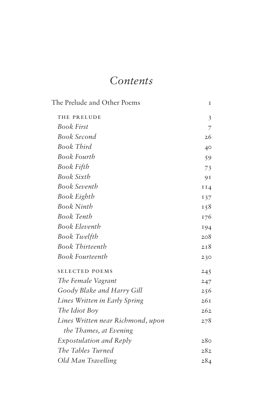### *Contents*

| The Prelude and Other Poems       | I   |
|-----------------------------------|-----|
| THE PRELUDE                       | 3   |
| <b>Book First</b>                 | 7   |
| <b>Book Second</b>                | 26  |
| <b>Book Third</b>                 | 40  |
| Book Fourth                       | 59  |
| Book Fifth                        | 73  |
| <b>Book Sixth</b>                 | 91  |
| <b>Book Seventh</b>               | II4 |
| Book Eighth                       | 137 |
| <b>Book Ninth</b>                 | 158 |
| <b>Book Tenth</b>                 | 176 |
| <b>Book Eleventh</b>              | 194 |
| Book Twelfth                      | 208 |
| <b>Book Thirteenth</b>            | 2I8 |
| <b>Book Fourteenth</b>            | 230 |
| <b>SELECTED POEMS</b>             | 245 |
| The Female Vagrant                | 247 |
| Goody Blake and Harry Gill        | 256 |
| Lines Written in Early Spring     | 26I |
| The Idiot Boy                     | 262 |
| Lines Written near Richmond, upon | 278 |
| the Thames, at Evening            |     |
| <i>Expostulation and Reply</i>    | 280 |
| The Tables Turned                 | 282 |
| Old Man Travelling                | 284 |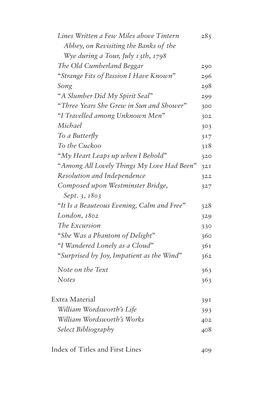| Lines Written a Few Miles above Tintern    | 285 |
|--------------------------------------------|-----|
| Abbey, on Revisiting the Banks of the      |     |
| Wye during a Tour, July 13th, 1798         |     |
| The Old Cumberland Beggar                  | 290 |
| "Strange Fits of Passion I Have Known"     | 296 |
| Song                                       | 298 |
| "A Slumber Did My Spirit Seal"             | 299 |
| "Three Years She Grew in Sun and Shower"   | 300 |
| "I Travelled among Unknown Men"            | 302 |
| Michael                                    | 303 |
| To a Butterfly                             | 317 |
| To the Cuckoo                              | 318 |
| "My Heart Leaps up when I Behold"          | 320 |
| "Among All Lovely Things My Love Had Been" | 32I |
| Resolution and Independence                | 322 |
| Composed upon Westminster Bridge,          | 327 |
| Sept. 3, 1803                              |     |
| "It Is a Beauteous Evening, Calm and Free" | 328 |
| London, 1802                               | 329 |
| The Excursion                              | 330 |
| "She Was a Phantom of Delight"             | 360 |
| "I Wandered Lonely as a Cloud"             | 361 |
| "Surprised by Joy, Impatient as the Wind"  | 362 |
| Note on the Text                           | 363 |
| <b>Notes</b>                               | 363 |
| Extra Material                             | 391 |
| William Wordsworth's Life                  | 393 |
| William Wordsworth's Works                 | 402 |
| Select Bibliography                        | 408 |
| Index of Titles and First Lines            | 409 |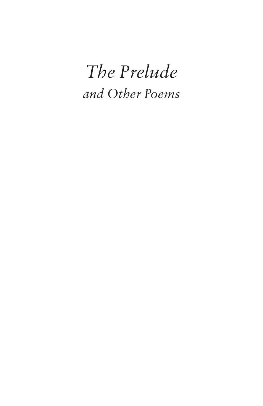## *The Prelude and Other Poems*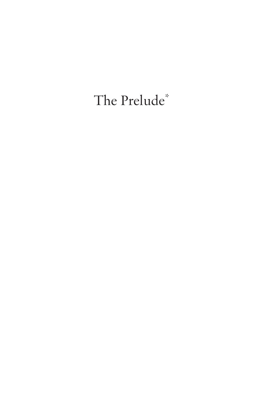## The Prelude\*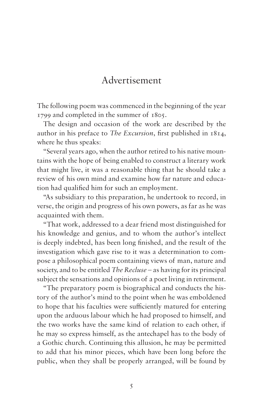### Advertisement

The following poem was commenced in the beginning of the year 1799 and completed in the summer of 1805.

The design and occasion of the work are described by the author in his preface to *The Excursion*, first published in 1814, where he thus speaks:

"Several years ago, when the author retired to his native mountains with the hope of being enabled to construct a literary work that might live, it was a reasonable thing that he should take a review of his own mind and examine how far nature and education had qualified him for such an employment.

"As subsidiary to this preparation, he undertook to record, in verse, the origin and progress of his own powers, as far as he was acquainted with them.

"That work, addressed to a dear friend most distinguished for his knowledge and genius, and to whom the author's intellect is deeply indebted, has been long finished, and the result of the investigation which gave rise to it was a determination to compose a philosophical poem containing views of man, nature and society, and to be entitled *The Recluse* – as having for its principal subject the sensations and opinions of a poet living in retirement.

"The preparatory poem is biographical and conducts the history of the author's mind to the point when he was emboldened to hope that his faculties were sufficiently matured for entering upon the arduous labour which he had proposed to himself, and the two works have the same kind of relation to each other, if he may so express himself, as the antechapel has to the body of a Gothic church. Continuing this allusion, he may be permitted to add that his minor pieces, which have been long before the public, when they shall be properly arranged, will be found by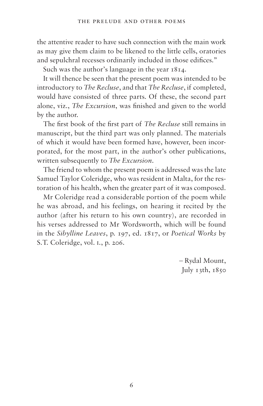the attentive reader to have such connection with the main work as may give them claim to be likened to the little cells, oratories and sepulchral recesses ordinarily included in those edifices."

Such was the author's language in the year 1814.

It will thence be seen that the present poem was intended to be introductory to *The Recluse*, and that *The Recluse*, if completed, would have consisted of three parts. Of these, the second part alone, viz., *The Excursion*, was finished and given to the world by the author.

The first book of the first part of *The Recluse* still remains in manuscript, but the third part was only planned. The materials of which it would have been formed have, however, been incorporated, for the most part, in the author's other publications, written subsequently to *The Excursion*.

The friend to whom the present poem is addressed was the late Samuel Taylor Coleridge, who was resident in Malta, for the restoration of his health, when the greater part of it was composed.

Mr Coleridge read a considerable portion of the poem while he was abroad, and his feelings, on hearing it recited by the author (after his return to his own country), are recorded in his verses addressed to Mr Wordsworth, which will be found in the *Sibylline Leaves*, p. 197, ed. 1817, or *Poetical Works* by S.T. Coleridge, vol. i., p. 206.

> – Rydal Mount, July  $13th$ ,  $1850$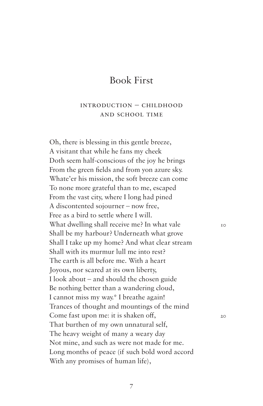### Book First

#### Introduction – Childhood and School time

Oh, there is blessing in this gentle breeze, A visitant that while he fans my cheek Doth seem half-conscious of the joy he brings From the green fields and from yon azure sky. Whate'er his mission, the soft breeze can come To none more grateful than to me, escaped From the vast city, where I long had pined A discontented sojourner – now free, Free as a bird to settle where I will. What dwelling shall receive me? In what vale  $10$ Shall be my harbour? Underneath what grove Shall I take up my home? And what clear stream Shall with its murmur lull me into rest? The earth is all before me. With a heart Joyous, nor scared at its own liberty, I look about – and should the chosen guide Be nothing better than a wandering cloud, I cannot miss my way.\* I breathe again! Trances of thought and mountings of the mind Come fast upon me: it is shaken off, 20 That burthen of my own unnatural self, The heavy weight of many a weary day Not mine, and such as were not made for me. Long months of peace (if such bold word accord With any promises of human life),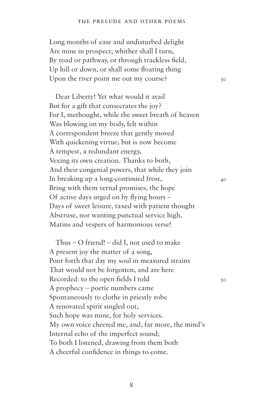#### the prelude and other poems

Long months of ease and undisturbed delight Are mine in prospect; whither shall I turn, By road or pathway, or through trackless field, Up hill or down, or shall some floating thing Upon the river point me out my course?  $30$ 

Dear Liberty! Yet what would it avail But for a gift that consecrates the joy? For I, methought, while the sweet breath of heaven Was blowing on my body, felt within A correspondent breeze that gently moved With quickening virtue, but is now become A tempest, a redundant energy, Vexing its own creation. Thanks to both, And their congenial powers, that while they join In breaking up a long-continued frost, Bring with them vernal promises, the hope Of active days urged on by flying hours – Days of sweet leisure, taxed with patient thought Abstruse, nor wanting punctual service high, Matins and vespers of harmonious verse!

Thus – O friend! – did I, not used to make A present joy the matter of a song, Pour forth that day my soul in measured strains That would not be forgotten, and are here Recorded: to the open fields I told  $50$ A prophecy – poetic numbers came Spontaneously to clothe in priestly robe A renovated spirit singled out, Such hope was mine, for holy services. My own voice cheered me, and, far more, the mind's Internal echo of the imperfect sound; To both I listened, drawing from them both A cheerful confidence in things to come.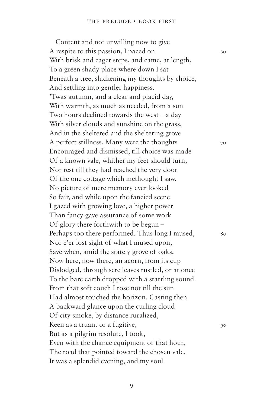Content and not unwilling now to give A respite to this passion, I paced on  $60$ With brisk and eager steps, and came, at length, To a green shady place where down I sat Beneath a tree, slackening my thoughts by choice, And settling into gentler happiness. 'Twas autumn, and a clear and placid day, With warmth, as much as needed, from a sun Two hours declined towards the west – a day With silver clouds and sunshine on the grass, And in the sheltered and the sheltering grove A perfect stillness. Many were the thoughts  $70$ Encouraged and dismissed, till choice was made Of a known vale, whither my feet should turn, Nor rest till they had reached the very door Of the one cottage which methought I saw. No picture of mere memory ever looked So fair, and while upon the fancied scene I gazed with growing love, a higher power Than fancy gave assurance of some work Of glory there forthwith to be begun – Perhaps too there performed. Thus long I mused,  $\frac{80}{20}$ Nor e'er lost sight of what I mused upon, Save when, amid the stately grove of oaks, Now here, now there, an acorn, from its cup Dislodged, through sere leaves rustled, or at once To the bare earth dropped with a startling sound. From that soft couch I rose not till the sun Had almost touched the horizon. Casting then A backward glance upon the curling cloud Of city smoke, by distance ruralized, Keen as a truant or a fugitive, But as a pilgrim resolute, I took, Even with the chance equipment of that hour, The road that pointed toward the chosen vale. It was a splendid evening, and my soul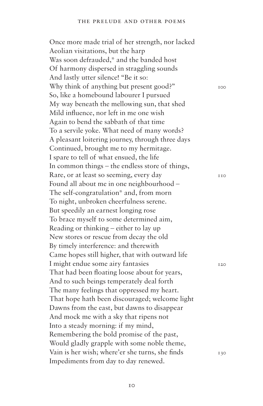Once more made trial of her strength, nor lacked Aeolian visitations, but the harp Was soon defrauded,\* and the banded host Of harmony dispersed in straggling sounds And lastly utter silence! "Be it so: Why think of anything but present good?"  $100$ So, like a homebound labourer I pursued My way beneath the mellowing sun, that shed Mild influence, nor left in me one wish Again to bend the sabbath of that time To a servile yoke. What need of many words? A pleasant loitering journey, through three days Continued, brought me to my hermitage. I spare to tell of what ensued, the life In common things – the endless store of things, Rare, or at least so seeming, every day 110 Found all about me in one neighbourhood – The self-congratulation\* and, from morn To night, unbroken cheerfulness serene. But speedily an earnest longing rose To brace myself to some determined aim, Reading or thinking – either to lay up New stores or rescue from decay the old By timely interference: and therewith Came hopes still higher, that with outward life I might endue some airy fantasies 120 That had been floating loose about for years, And to such beings temperately deal forth The many feelings that oppressed my heart. That hope hath been discouraged; welcome light Dawns from the east, but dawns to disappear And mock me with a sky that ripens not Into a steady morning: if my mind, Remembering the bold promise of the past, Would gladly grapple with some noble theme, Vain is her wish; where'er she turns, she finds  $130$ Impediments from day to day renewed.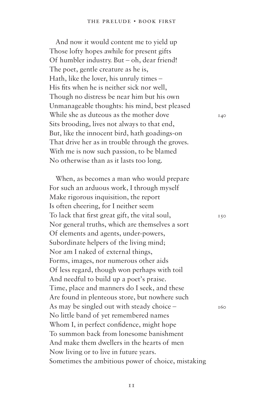And now it would content me to yield up Those lofty hopes awhile for present gifts Of humbler industry. But – oh, dear friend! The poet, gentle creature as he is, Hath, like the lover, his unruly times – His fits when he is neither sick nor well, Though no distress be near him but his own Unmanageable thoughts: his mind, best pleased While she as duteous as the mother dove  $140$ Sits brooding, lives not always to that end, But, like the innocent bird, hath goadings-on That drive her as in trouble through the groves. With me is now such passion, to be blamed No otherwise than as it lasts too long.

When, as becomes a man who would prepare For such an arduous work, I through myself Make rigorous inquisition, the report Is often cheering, for I neither seem To lack that first great gift, the vital soul,  $150$ Nor general truths, which are themselves a sort Of elements and agents, under-powers, Subordinate helpers of the living mind; Nor am I naked of external things, Forms, images, nor numerous other aids Of less regard, though won perhaps with toil And needful to build up a poet's praise. Time, place and manners do I seek, and these Are found in plenteous store, but nowhere such As may be singled out with steady choice  $-$  160 No little band of yet remembered names Whom I, in perfect confidence, might hope To summon back from lonesome banishment And make them dwellers in the hearts of men Now living or to live in future years. Sometimes the ambitious power of choice, mistaking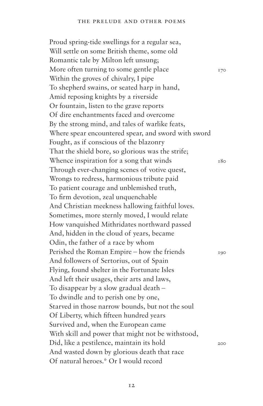Proud spring-tide swellings for a regular sea, Will settle on some British theme, some old Romantic tale by Milton left unsung; More often turning to some gentle place  $170$ Within the groves of chivalry, I pipe To shepherd swains, or seated harp in hand, Amid reposing knights by a riverside Or fountain, listen to the grave reports Of dire enchantments faced and overcome By the strong mind, and tales of warlike feats, Where spear encountered spear, and sword with sword Fought, as if conscious of the blazonry That the shield bore, so glorious was the strife; Whence inspiration for a song that winds  $180$ Through ever-changing scenes of votive quest, Wrongs to redress, harmonious tribute paid To patient courage and unblemished truth, To firm devotion, zeal unquenchable And Christian meekness hallowing faithful loves. Sometimes, more sternly moved, I would relate How vanquished Mithridates northward passed And, hidden in the cloud of years, became Odin, the father of a race by whom Perished the Roman Empire – how the friends  $190$ And followers of Sertorius, out of Spain Flying, found shelter in the Fortunate Isles And left their usages, their arts and laws, To disappear by a slow gradual death – To dwindle and to perish one by one, Starved in those narrow bounds, but not the soul Of Liberty, which fifteen hundred years Survived and, when the European came With skill and power that might not be withstood, Did, like a pestilence, maintain its hold 200 And wasted down by glorious death that race Of natural heroes.\* Or I would record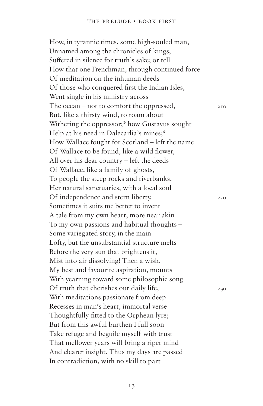How, in tyrannic times, some high-souled man, Unnamed among the chronicles of kings, Suffered in silence for truth's sake; or tell How that one Frenchman, through continued force Of meditation on the inhuman deeds Of those who conquered first the Indian Isles, Went single in his ministry across The ocean – not to comfort the oppressed,  $_{210}$ But, like a thirsty wind, to roam about Withering the oppressor;\* how Gustavus sought Help at his need in Dalecarlia's mines;\* How Wallace fought for Scotland – left the name Of Wallace to be found, like a wild flower, All over his dear country – left the deeds Of Wallace, like a family of ghosts, To people the steep rocks and riverbanks, Her natural sanctuaries, with a local soul Of independence and stern liberty. Sometimes it suits me better to invent A tale from my own heart, more near akin To my own passions and habitual thoughts – Some variegated story, in the main Lofty, but the unsubstantial structure melts Before the very sun that brightens it, Mist into air dissolving! Then a wish, My best and favourite aspiration, mounts With yearning toward some philosophic song Of truth that cherishes our daily life,  $230$ With meditations passionate from deep Recesses in man's heart, immortal verse Thoughtfully fitted to the Orphean lyre; But from this awful burthen I full soon Take refuge and beguile myself with trust That mellower years will bring a riper mind And clearer insight. Thus my days are passed In contradiction, with no skill to part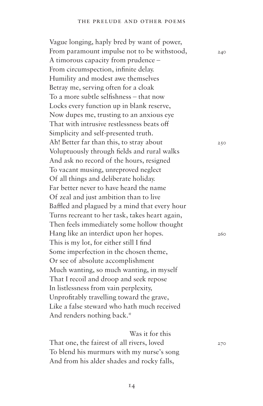Vague longing, haply bred by want of power, From paramount impulse not to be withstood,  $_{240}$ A timorous capacity from prudence – From circumspection, infinite delay. Humility and modest awe themselves Betray me, serving often for a cloak To a more subtle selfishness – that now Locks every function up in blank reserve, Now dupes me, trusting to an anxious eye That with intrusive restlessness beats off Simplicity and self-presented truth. Ah! Better far than this, to stray about  $250$ Voluptuously through fields and rural walks And ask no record of the hours, resigned To vacant musing, unreproved neglect Of all things and deliberate holiday. Far better never to have heard the name Of zeal and just ambition than to live Baffled and plagued by a mind that every hour Turns recreant to her task, takes heart again, Then feels immediately some hollow thought Hang like an interdict upon her hopes. This is my lot, for either still I find Some imperfection in the chosen theme, Or see of absolute accomplishment Much wanting, so much wanting, in myself That I recoil and droop and seek repose In listlessness from vain perplexity, Unprofitably travelling toward the grave, Like a false steward who hath much received And renders nothing back.\*

Was it for this

That one, the fairest of all rivers, loved  $270$ To blend his murmurs with my nurse's song And from his alder shades and rocky falls,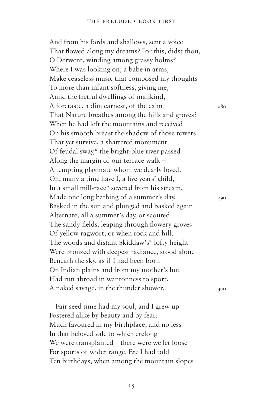And from his fords and shallows, sent a voice That flowed along my dreams? For this, didst thou, O Derwent, winding among grassy holms\* Where I was looking on, a babe in arms, Make ceaseless music that composed my thoughts To more than infant softness, giving me, Amid the fretful dwellings of mankind, A foretaste, a dim earnest, of the calm 280 That Nature breathes among the hills and groves? When he had left the mountains and received On his smooth breast the shadow of those towers That yet survive, a shattered monument Of feudal sway,\* the bright-blue river passed Along the margin of our terrace walk – A tempting playmate whom we dearly loved. Oh, many a time have I, a five years' child, In a small mill-race\* severed from his stream, Made one long bathing of a summer's day, 290 Basked in the sun and plunged and basked again Alternate, all a summer's day, or scoured The sandy fields, leaping through flowery groves Of yellow ragwort; or when rock and hill, The woods and distant Skiddaw's\* lofty height Were bronzed with deepest radiance, stood alone Beneath the sky, as if I had been born On Indian plains and from my mother's hut Had run abroad in wantonness to sport, A naked savage, in the thunder shower.  $300$ 

Fair seed time had my soul, and I grew up Fostered alike by beauty and by fear: Much favoured in my birthplace, and no less In that beloved vale to which erelong We were transplanted – there were we let loose For sports of wider range. Ere I had told Ten birthdays, when among the mountain slopes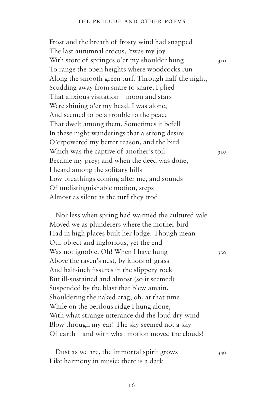Frost and the breath of frosty wind had snapped The last autumnal crocus, 'twas my joy With store of springes o'er my shoulder hung  $310$ To range the open heights where woodcocks run Along the smooth green turf. Through half the night, Scudding away from snare to snare, I plied That anxious visitation – moon and stars Were shining o'er my head. I was alone, And seemed to be a trouble to the peace That dwelt among them. Sometimes it befell In these night wanderings that a strong desire O'erpowered my better reason, and the bird Which was the captive of another's toil  $320$ Became my prey; and when the deed was done, I heard among the solitary hills Low breathings coming after me, and sounds Of undistinguishable motion, steps Almost as silent as the turf they trod.

Nor less when spring had warmed the cultured vale Moved we as plunderers where the mother bird Had in high places built her lodge. Though mean Our object and inglorious, yet the end Was not ignoble. Oh! When I have hung  $330$ Above the raven's nest, by knots of grass And half-inch fissures in the slippery rock But ill-sustained and almost (so it seemed) Suspended by the blast that blew amain, Shouldering the naked crag, oh, at that time While on the perilous ridge I hung alone, With what strange utterance did the loud dry wind Blow through my ear! The sky seemed not a sky Of earth – and with what motion moved the clouds!

Dust as we are, the immortal spirit grows  $340$ Like harmony in music; there is a dark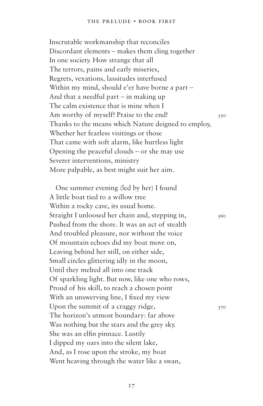Inscrutable workmanship that reconciles Discordant elements – makes them cling together In one society. How strange that all The terrors, pains and early miseries, Regrets, vexations, lassitudes interfused Within my mind, should e'er have borne a part – And that a needful part – in making up The calm existence that is mine when I Am worthy of myself! Praise to the end! Thanks to the means which Nature deigned to employ, Whether her fearless visitings or those That came with soft alarm, like hurtless light Opening the peaceful clouds – or she may use Severer interventions, ministry More palpable, as best might suit her aim.

One summer evening (led by her) I found A little boat tied to a willow tree Within a rocky cave, its usual home. Straight I unloosed her chain and, stepping in,  $\frac{360}{20}$ Pushed from the shore. It was an act of stealth And troubled pleasure, nor without the voice Of mountain echoes did my boat move on, Leaving behind her still, on either side, Small circles glittering idly in the moon, Until they melted all into one track Of sparkling light. But now, like one who rows, Proud of his skill, to reach a chosen point With an unswerving line, I fixed my view Upon the summit of a craggy ridge,  $370$ The horizon's utmost boundary: far above Was nothing but the stars and the grey sky. She was an elfin pinnace. Lustily I dipped my oars into the silent lake, And, as I rose upon the stroke, my boat Went heaving through the water like a swan,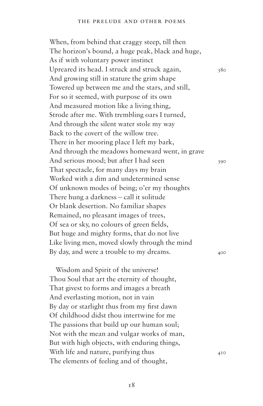When, from behind that craggy steep, till then The horizon's bound, a huge peak, black and huge, As if with voluntary power instinct Upreared its head. I struck and struck again,  $380$ And growing still in stature the grim shape Towered up between me and the stars, and still, For so it seemed, with purpose of its own And measured motion like a living thing, Strode after me. With trembling oars I turned, And through the silent water stole my way Back to the covert of the willow tree. There in her mooring place I left my bark, And through the meadows homeward went, in grave And serious mood; but after I had seen 390 That spectacle, for many days my brain Worked with a dim and undetermined sense Of unknown modes of being; o'er my thoughts There hung a darkness – call it solitude Or blank desertion. No familiar shapes Remained, no pleasant images of trees, Of sea or sky, no colours of green fields, But huge and mighty forms, that do not live Like living men, moved slowly through the mind By day, and were a trouble to my dreams.

Wisdom and Spirit of the universe! Thou Soul that art the eternity of thought, That givest to forms and images a breath And everlasting motion, not in vain By day or starlight thus from my first dawn Of childhood didst thou intertwine for me The passions that build up our human soul; Not with the mean and vulgar works of man, But with high objects, with enduring things, With life and nature, purifying thus  $410$ The elements of feeling and of thought,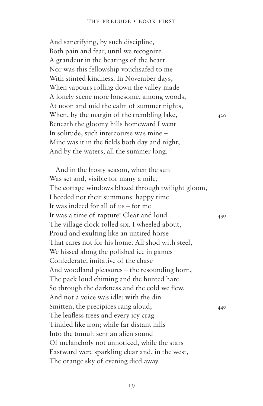And sanctifying, by such discipline, Both pain and fear, until we recognize A grandeur in the beatings of the heart. Nor was this fellowship vouchsafed to me With stinted kindness. In November days, When vapours rolling down the valley made A lonely scene more lonesome, among woods, At noon and mid the calm of summer nights, When, by the margin of the trembling lake,  $420$ Beneath the gloomy hills homeward I went In solitude, such intercourse was mine – Mine was it in the fields both day and night, And by the waters, all the summer long.

And in the frosty season, when the sun Was set and, visible for many a mile, The cottage windows blazed through twilight gloom, I heeded not their summons: happy time It was indeed for all of us – for me It was a time of rapture! Clear and loud 430 The village clock tolled six. I wheeled about, Proud and exulting like an untired horse That cares not for his home. All shod with steel, We hissed along the polished ice in games Confederate, imitative of the chase And woodland pleasures – the resounding horn, The pack loud chiming and the hunted hare. So through the darkness and the cold we flew. And not a voice was idle: with the din Smitten, the precipices rang aloud;  $440$ The leafless trees and every icy crag Tinkled like iron; while far distant hills Into the tumult sent an alien sound Of melancholy not unnoticed, while the stars Eastward were sparkling clear and, in the west, The orange sky of evening died away.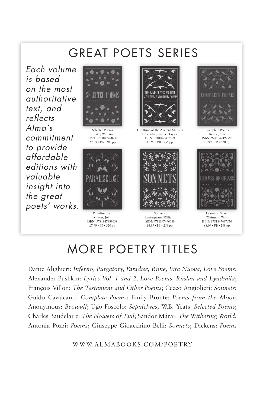## great poets series

Each volume is based on the most authoritative text, and reflects  $Alma's$ commitment to provide affordable editions with valuable insight into the great poets' works.



Selected Poems Blake, William ISBN: 9781847498212 £7.99 • PB • 288 pp



Paradise Lost Milton, John ISBN: 9781847498038 £7.99 • PB • 320 pp



The Rime of the Ancient Mariner Coleridge, Samuel Taylor ISBN: 9781847497529 £7.99 • PB • 256 pp



Sonnets Shakespeare, William ISBN: 9781847496089 £4.99 • PB • 256 pp



Complete Poems Keats, John ISBN: 9781847497567 £9.99 • PB • 520 pp



Leaves of Grass Whitman, Walt ISBN: 9781847497550 £8.99 • PB • 288 pp

## more poetry titles

Dante Alighieri: *Inferno, Purgatory, Paradise, Rime, Vita Nuova, Love Poems*; Alexander Pushkin: *Lyrics Vol. 1 and 2, Love Poems, Ruslan and Lyudmila*; François Villon: *The Testament and Other Poems*; Cecco Angiolieri: *Sonnets*; Guido Cavalcanti: *Complete Poems*; Emily Brontë: *Poems from the Moor*; Anonymous: *Beowulf*; Ugo Foscolo: *Sepulchres*; W.B. Yeats: *Selected Poems*; Charles Baudelaire: *The Flowers of Evil*; Sándor Márai: *The Withering World*; Antonia Pozzi: *Poems*; Giuseppe Gioacchino Belli: *Sonnets*; Dickens: *Poems*

WWW.ALMABooKS.CoM/PoETRY